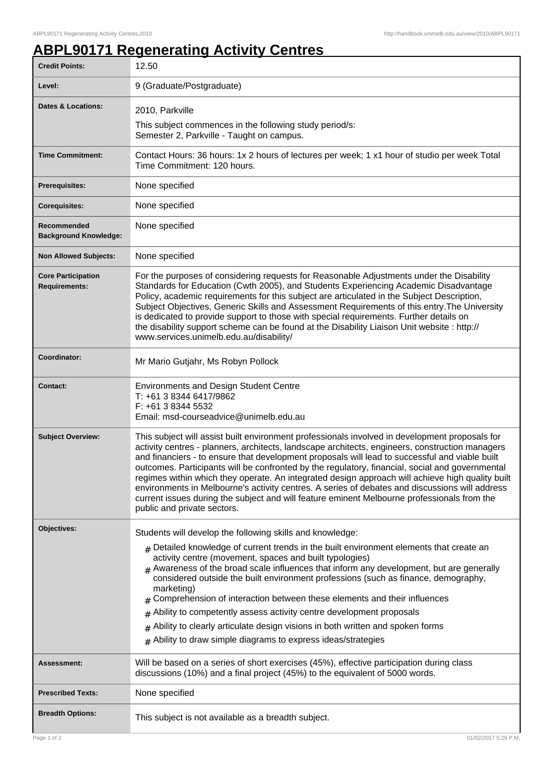## **ABPL90171 Regenerating Activity Centres**

| <b>Credit Points:</b>                             | 12.50                                                                                                                                                                                                                                                                                                                                                                                                                                                                                                                                                                                                                                                                                                                                      |
|---------------------------------------------------|--------------------------------------------------------------------------------------------------------------------------------------------------------------------------------------------------------------------------------------------------------------------------------------------------------------------------------------------------------------------------------------------------------------------------------------------------------------------------------------------------------------------------------------------------------------------------------------------------------------------------------------------------------------------------------------------------------------------------------------------|
| Level:                                            | 9 (Graduate/Postgraduate)                                                                                                                                                                                                                                                                                                                                                                                                                                                                                                                                                                                                                                                                                                                  |
| <b>Dates &amp; Locations:</b>                     | 2010, Parkville                                                                                                                                                                                                                                                                                                                                                                                                                                                                                                                                                                                                                                                                                                                            |
|                                                   | This subject commences in the following study period/s:<br>Semester 2, Parkville - Taught on campus.                                                                                                                                                                                                                                                                                                                                                                                                                                                                                                                                                                                                                                       |
| <b>Time Commitment:</b>                           | Contact Hours: 36 hours: 1x 2 hours of lectures per week; 1 x1 hour of studio per week Total<br>Time Commitment: 120 hours.                                                                                                                                                                                                                                                                                                                                                                                                                                                                                                                                                                                                                |
| <b>Prerequisites:</b>                             | None specified                                                                                                                                                                                                                                                                                                                                                                                                                                                                                                                                                                                                                                                                                                                             |
| <b>Corequisites:</b>                              | None specified                                                                                                                                                                                                                                                                                                                                                                                                                                                                                                                                                                                                                                                                                                                             |
| Recommended<br><b>Background Knowledge:</b>       | None specified                                                                                                                                                                                                                                                                                                                                                                                                                                                                                                                                                                                                                                                                                                                             |
| <b>Non Allowed Subjects:</b>                      | None specified                                                                                                                                                                                                                                                                                                                                                                                                                                                                                                                                                                                                                                                                                                                             |
| <b>Core Participation</b><br><b>Requirements:</b> | For the purposes of considering requests for Reasonable Adjustments under the Disability<br>Standards for Education (Cwth 2005), and Students Experiencing Academic Disadvantage<br>Policy, academic requirements for this subject are articulated in the Subject Description,<br>Subject Objectives, Generic Skills and Assessment Requirements of this entry. The University<br>is dedicated to provide support to those with special requirements. Further details on<br>the disability support scheme can be found at the Disability Liaison Unit website : http://<br>www.services.unimelb.edu.au/disability/                                                                                                                         |
| Coordinator:                                      | Mr Mario Gutjahr, Ms Robyn Pollock                                                                                                                                                                                                                                                                                                                                                                                                                                                                                                                                                                                                                                                                                                         |
| <b>Contact:</b>                                   | <b>Environments and Design Student Centre</b><br>T: +61 3 8344 6417/9862<br>F: +61 3 8344 5532<br>Email: msd-courseadvice@unimelb.edu.au                                                                                                                                                                                                                                                                                                                                                                                                                                                                                                                                                                                                   |
| <b>Subject Overview:</b>                          | This subject will assist built environment professionals involved in development proposals for<br>activity centres - planners, architects, landscape architects, engineers, construction managers<br>and financiers - to ensure that development proposals will lead to successful and viable built<br>outcomes. Participants will be confronted by the regulatory, financial, social and governmental<br>regimes within which they operate. An integrated design approach will achieve high quality built<br>environments in Melbourne's activity centres. A series of debates and discussions will address<br>current issues during the subject and will feature eminent Melbourne professionals from the<br>public and private sectors. |
| Objectives:                                       | Students will develop the following skills and knowledge:                                                                                                                                                                                                                                                                                                                                                                                                                                                                                                                                                                                                                                                                                  |
|                                                   | $#$ Detailed knowledge of current trends in the built environment elements that create an<br>activity centre (movement, spaces and built typologies)<br>Awareness of the broad scale influences that inform any development, but are generally<br>#<br>considered outside the built environment professions (such as finance, demography,<br>marketing)<br>Comprehension of interaction between these elements and their influences<br>#                                                                                                                                                                                                                                                                                                   |
|                                                   | Ability to competently assess activity centre development proposals<br>#                                                                                                                                                                                                                                                                                                                                                                                                                                                                                                                                                                                                                                                                   |
|                                                   | Ability to clearly articulate design visions in both written and spoken forms<br>$\#$<br>Ability to draw simple diagrams to express ideas/strategies<br>#                                                                                                                                                                                                                                                                                                                                                                                                                                                                                                                                                                                  |
| Assessment:                                       | Will be based on a series of short exercises (45%), effective participation during class<br>discussions (10%) and a final project (45%) to the equivalent of 5000 words.                                                                                                                                                                                                                                                                                                                                                                                                                                                                                                                                                                   |
| <b>Prescribed Texts:</b>                          | None specified                                                                                                                                                                                                                                                                                                                                                                                                                                                                                                                                                                                                                                                                                                                             |
| <b>Breadth Options:</b>                           | This subject is not available as a breadth subject.                                                                                                                                                                                                                                                                                                                                                                                                                                                                                                                                                                                                                                                                                        |
| Page 1 of 2                                       | 01/02/2017 5:29 P.M                                                                                                                                                                                                                                                                                                                                                                                                                                                                                                                                                                                                                                                                                                                        |